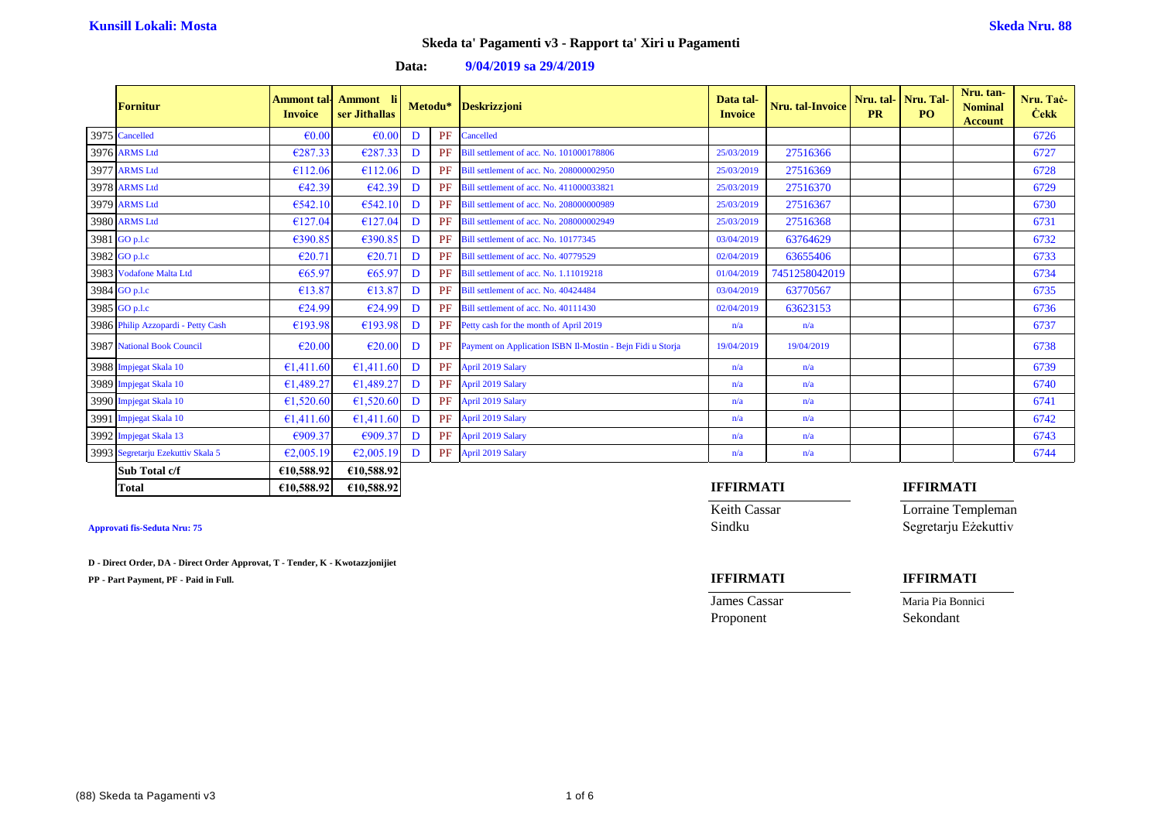| Data: | $9/04/2019$ sa $29/4/2019$ |  |
|-------|----------------------------|--|
|-------|----------------------------|--|

| <b>Fornitur</b>                    | <b>Invoice</b>  | Ammont tal- Ammont li<br>ser Jithallas |   |    | Metodu* Deskrizzjoni                                          | Data tal-<br><b>Invoice</b> | Nru. tal-Invoice | <b>PR</b> | Nru. tal- Nru. Tal-<br>PO. | Nru. tan-<br><b>Nominal</b><br><b>Account</b> | Nru. Tač-<br><b>Cekk</b> |
|------------------------------------|-----------------|----------------------------------------|---|----|---------------------------------------------------------------|-----------------------------|------------------|-----------|----------------------------|-----------------------------------------------|--------------------------|
| 3975 Cancelled                     | $\epsilon$ 0.00 | $\epsilon$ 0.00                        | D | PF | Cancelled                                                     |                             |                  |           |                            |                                               | 6726                     |
| 3976 ARMS Ltd                      | €287.33         | €287.33                                | D | PF | Bill settlement of acc. No. 101000178806                      | 25/03/2019                  | 27516366         |           |                            |                                               | 6727                     |
| 3977 ARMS Ltd                      | €112.06         | €112.06                                | D |    | PF Bill settlement of acc. No. 208000002950                   | 25/03/2019                  | 27516369         |           |                            |                                               | 6728                     |
| 3978 ARMS Ltd                      | €42.39          | €42.39                                 | D |    | PF Bill settlement of acc. No. 411000033821                   | 25/03/2019                  | 27516370         |           |                            |                                               | 6729                     |
| 3979 ARMS Ltd                      | €542.10         | €542.10                                | D |    | PF Bill settlement of acc. No. 208000000989                   | 25/03/2019                  | 27516367         |           |                            |                                               | 6730                     |
| 3980 ARMS Ltd                      | €127.04         | €127.04                                | D |    | PF Bill settlement of acc. No. 208000002949                   | 25/03/2019                  | 27516368         |           |                            |                                               | 6731                     |
| 3981 GO p.l.c                      | €390.85         | €390.85                                | D |    | PF Bill settlement of acc. No. 10177345                       | 03/04/2019                  | 63764629         |           |                            |                                               | 6732                     |
| 3982 GO p.l.c                      | €20.71          | €20.7                                  | D |    | PF Bill settlement of acc. No. 40779529                       | 02/04/2019                  | 63655406         |           |                            |                                               | 6733                     |
| 3983 Vodafone Malta Ltd            | €65.97          | €65.97                                 | D |    | PF Bill settlement of acc. No. 1.11019218                     | 01/04/2019                  | 7451258042019    |           |                            |                                               | 6734                     |
| 3984 GO p.l.c                      | €13.87          | €13.87                                 | D |    | PF Bill settlement of acc. No. 40424484                       | 03/04/2019                  | 63770567         |           |                            |                                               | 6735                     |
| 3985 GO p.l.c                      | €24.99          | €24.99                                 | D |    | PF Bill settlement of acc. No. 40111430                       | 02/04/2019                  | 63623153         |           |                            |                                               | 6736                     |
| 3986 Philip Azzopardi - Petty Cash | €193.98         | €193.98                                | D | PF | Petty cash for the month of April 2019                        | n/a                         | n/a              |           |                            |                                               | 6737                     |
| <b>3987</b> National Book Council  | €20.00          | $\epsilon$ 20.00                       | D |    | PF Payment on Application ISBN Il-Mostin - Bejn Fidi u Storja | 19/04/2019                  | 19/04/2019       |           |                            |                                               | 6738                     |
| 3988 Impjegat Skala 10             | €1,411.60       | €1,411.60                              | D |    | PF April 2019 Salary                                          | n/a                         | n/a              |           |                            |                                               | 6739                     |
| 3989 Impjegat Skala 10             | €1,489.27       | €1,489.27                              | D |    | PF April 2019 Salary                                          | n/a                         | n/a              |           |                            |                                               | 6740                     |
| 3990 Impjegat Skala 10             | €1,520.60       | €1,520.60                              | D |    | PF April 2019 Salary                                          | n/a                         | n/a              |           |                            |                                               | 6741                     |
| 3991 Impjegat Skala 10             | €1,411.60       | €1,411.60                              | D |    | PF April 2019 Salary                                          | n/a                         | n/a              |           |                            |                                               | 6742                     |
| 3992 Impjegat Skala 13             | €909.37         | €909.37                                | D |    | PF April 2019 Salary                                          | n/a                         | n/a              |           |                            |                                               | 6743                     |
| 3993 Segretarju Ezekuttiv Skala 5  | €2,005.19       | €2,005.19                              | D |    | PF April 2019 Salary                                          | n/a                         | n/a              |           |                            |                                               | 6744                     |
| Sub Total c/f                      | €10,588.92      | €10,588.92                             |   |    |                                                               |                             |                  |           |                            |                                               |                          |

**Total €10,588.92 €10,588.92 IFFIRMATI IFFIRMATI**

**Keith Cassar Lorraine Templeman** 

**James Cassar Maria Pia Bonnici** 

Proponent Sekondant

## **Approvati fis-Seduta Nru: 75** Sindku Segretarju Eżekuttiv

**D - Direct Order, DA - Direct Order Approvat, T - Tender, K - Kwotazzjonijiet**

**PP - Part Payment, PF - Paid in Full. IFFIRMATI IFFIRMATI**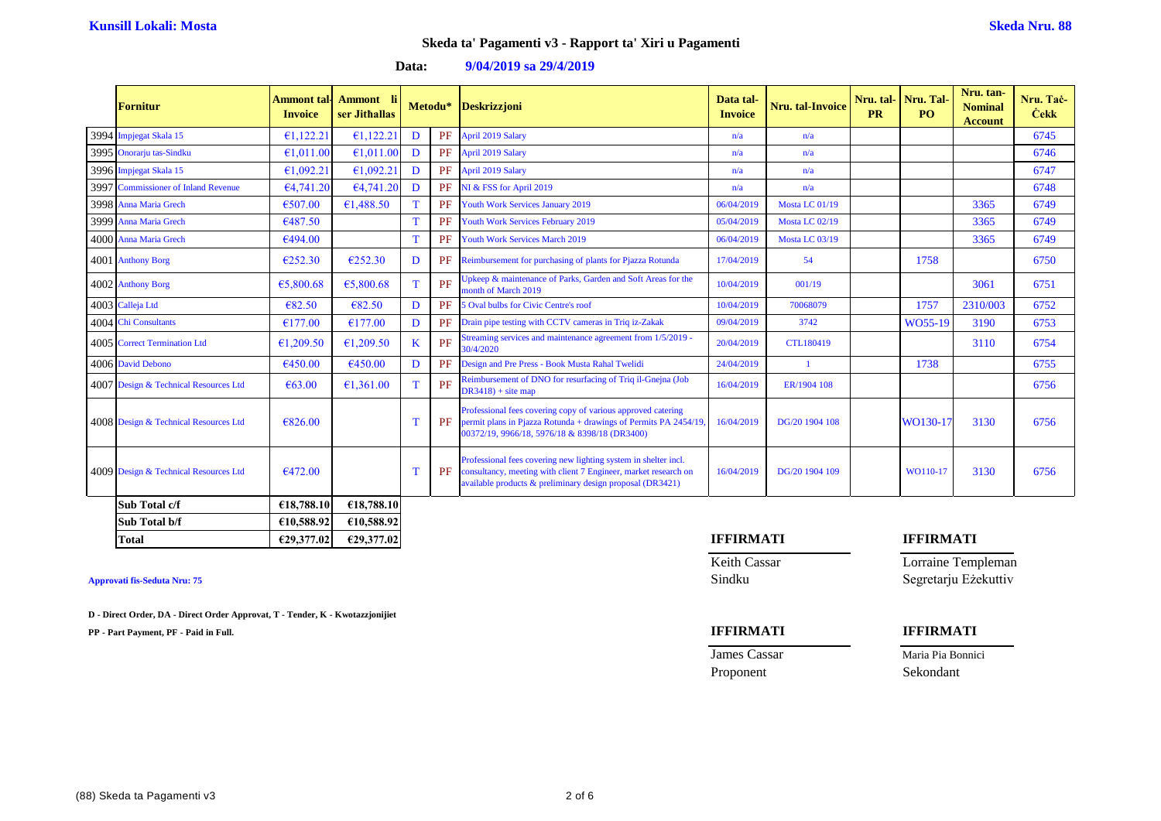| Data: | $9/04/2019$ sa $29/4/2019$ |  |
|-------|----------------------------|--|
|-------|----------------------------|--|

| <b>Fornitur</b>                       | Ammont tal-<br><b>Invoice</b> | <b>Ammont</b><br>ser Jithallas |   |           | Metodu* Deskrizzjoni                                                                                                                                                                            | Data tal-<br><b>Invoice</b> | Nru. tal-Invoice      | Nru. tal-Nru. Tal<br><b>PR</b> | PO.      | Nru. tan-<br><b>Nominal</b><br><b>Account</b> | Nru. Tač-<br><b>Cekk</b> |
|---------------------------------------|-------------------------------|--------------------------------|---|-----------|-------------------------------------------------------------------------------------------------------------------------------------------------------------------------------------------------|-----------------------------|-----------------------|--------------------------------|----------|-----------------------------------------------|--------------------------|
| 3994 Impjegat Skala 15                | €1,122.21                     | €1,122.21                      | D |           | PF April 2019 Salary                                                                                                                                                                            | n/a                         | n/a                   |                                |          |                                               | 6745                     |
| 3995 Onorarju tas-Sindku              | €1,011.00                     | €1.011.00                      | D |           | PF April 2019 Salary                                                                                                                                                                            | n/a                         | n/a                   |                                |          |                                               | 6746                     |
| 3996 Impjegat Skala 15                | €1,092.21                     | €1,092.21                      | D |           | PF April 2019 Salary                                                                                                                                                                            | n/a                         | n/a                   |                                |          |                                               | 6747                     |
| 3997 Commissioner of Inland Revenue   | €4,741.20                     | €4,741.20                      | D |           | PF NI & FSS for April 2019                                                                                                                                                                      | n/a                         | n/a                   |                                |          |                                               | 6748                     |
| 3998 Anna Maria Grech                 | €507.00                       | €1,488.50                      |   |           | PF Youth Work Services January 2019                                                                                                                                                             | 06/04/2019                  | <b>Mosta LC 01/19</b> |                                |          | 3365                                          | 6749                     |
| 3999 Anna Maria Grech                 | €487.50                       |                                |   | <b>PF</b> | <b>Youth Work Services February 2019</b>                                                                                                                                                        | 05/04/2019                  | <b>Mosta LC 02/19</b> |                                |          | 3365                                          | 6749                     |
| 4000 Anna Maria Grech                 | €494.00                       |                                |   |           | PF Youth Work Services March 2019                                                                                                                                                               | 06/04/2019                  | <b>Mosta LC 03/19</b> |                                |          | 3365                                          | 6749                     |
| 4001 Anthony Borg                     | €252.30                       | €252.30                        | D |           | <b>PF</b> Reimbursement for purchasing of plants for Pjazza Rotunda                                                                                                                             | 17/04/2019                  | 54                    |                                | 1758     |                                               | 6750                     |
| 4002 Anthony Borg                     | €5,800.68                     | €5,800.68                      |   | PF        | Jpkeep & maintenance of Parks, Garden and Soft Areas for the<br>nonth of March 2019                                                                                                             | 10/04/2019                  | 001/19                |                                |          | 3061                                          | 6751                     |
| 4003 Calleja Ltd                      | €82.50                        | €82.50                         | D |           | PF 5 Oval bulbs for Civic Centre's roof                                                                                                                                                         | 10/04/2019                  | 70068079              |                                | 1757     | 2310/003                                      | 6752                     |
| 4004 Chi Consultants                  | €177.00                       | €177.00                        | D |           | PF Drain pipe testing with CCTV cameras in Triq iz-Zakak                                                                                                                                        | 09/04/2019                  | 3742                  |                                | WO55-19  | 3190                                          | 6753                     |
| 4005 Correct Termination Ltd          | €1,209.50                     | €1,209.50                      |   | PF        | Streaming services and maintenance agreement from 1/5/2019 -<br>30/4/2020                                                                                                                       | 20/04/2019                  | <b>CTL180419</b>      |                                |          | 3110                                          | 6754                     |
| 4006 David Debono                     | €450.00                       | €450.00                        | D | PF        | Design and Pre Press - Book Musta Rahal Twelidi                                                                                                                                                 | 24/04/2019                  |                       |                                | 1738     |                                               | 6755                     |
| 4007 Design & Technical Resources Ltd | € $63.00$                     | €1,361.00                      |   | PF        | Reimbursement of DNO for resurfacing of Triq il-Gnejna (Job<br>$DR3418$ + site map                                                                                                              | 16/04/2019                  | ER/1904 108           |                                |          |                                               | 6756                     |
| 4008 Design & Technical Resources Ltd | €826.00                       |                                |   | PF        | Professional fees covering copy of various approved catering<br>permit plans in Pjazza Rotunda + drawings of Permits PA 2454/19,<br>00372/19, 9966/18, 5976/18 & 8398/18 (DR3400)               | 16/04/2019                  | DG/20 1904 108        |                                | WO130-17 | 3130                                          | 6756                     |
| 4009 Design & Technical Resources Ltd | €472.00                       |                                |   | PF        | Professional fees covering new lighting system in shelter incl.<br>consultancy, meeting with client 7 Engineer, market research on<br>available products & preliminary design proposal (DR3421) | 16/04/2019                  | DG/20 1904 109        |                                | WO110-17 | 3130                                          | 6756                     |
| Sub Total c/f                         | €18,788.10                    | €18,788.10                     |   |           |                                                                                                                                                                                                 |                             |                       |                                |          |                                               |                          |

| Approvati fis-Seduta Nru: 75 |  |
|------------------------------|--|
|------------------------------|--|

**D - Direct Order, DA - Direct Order Approvat, T - Tender, K - Kwotazzjonijiet**

**Sub Total b/f €10,588.92 €10,588.92**

**PP - Part Payment, PF - Paid in Full. IFFIRMATI IFFIRMATI**

**Total €29,377.02 €29,377.02 IFFIRMATI IFFIRMATI**

**Keith Cassar Lorraine Templeman Approvati fis-Seduta Nru: 75** Sindku Segretarju Eżekuttiv

| James Cassar | Maria Pia Bonnici |
|--------------|-------------------|
| Proponent    | Sekondant         |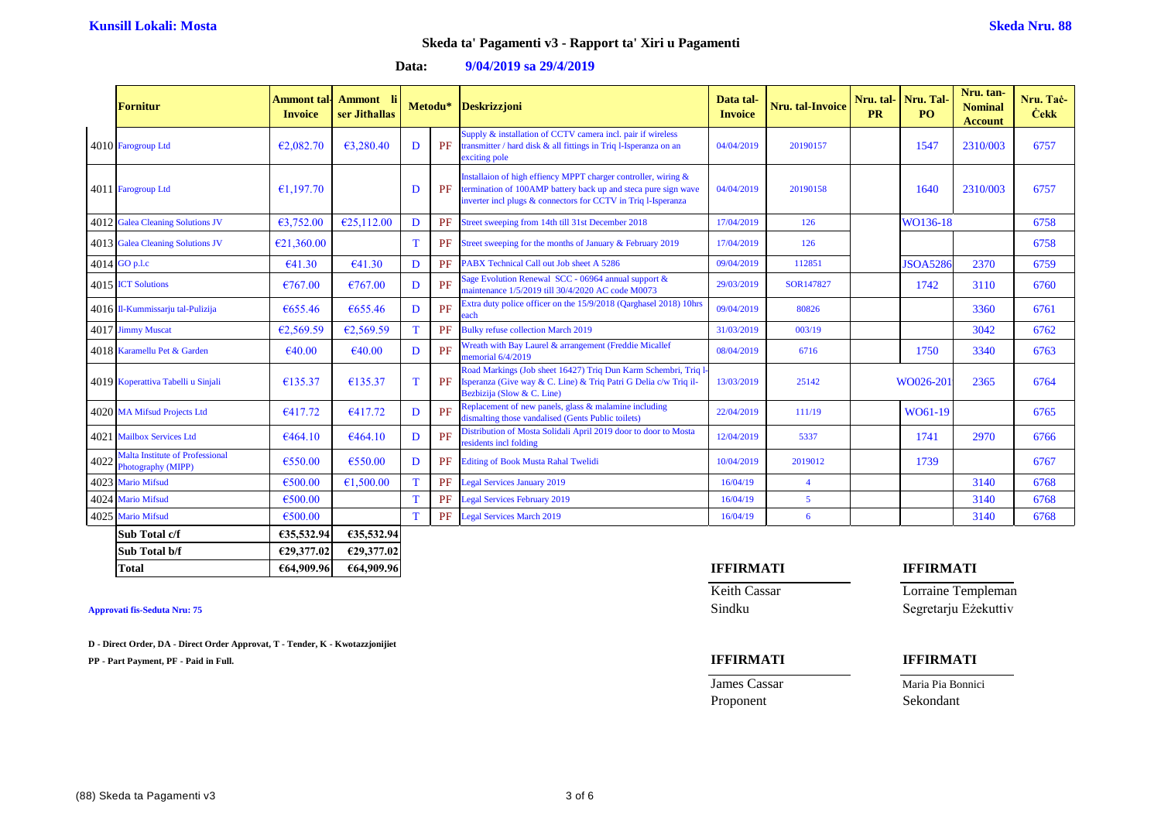### **Data: 9/04/2019 sa 29/4/2019**

|      | <b>Fornitur</b>                                       | Ammont tal·l<br><b>Invoice</b> | Ammont li<br>ser Jithallas |    | Metodu* | <b>Deskrizzjoni</b>                                                                                                                                                                               | Data tal-<br><b>Invoice</b> | Nru. tal-Invoice | Nru. tal- Nru. Tal<br><b>PR</b> | PO.             | Nru. tan-<br><b>Nominal</b><br><b>Account</b> | Nru. Tač-<br><b>Cekk</b> |
|------|-------------------------------------------------------|--------------------------------|----------------------------|----|---------|---------------------------------------------------------------------------------------------------------------------------------------------------------------------------------------------------|-----------------------------|------------------|---------------------------------|-----------------|-----------------------------------------------|--------------------------|
|      | 4010 Farogroup Ltd                                    | €2,082.70                      | €3,280.40                  | D  | PF      | Supply & installation of CCTV camera incl. pair if wireless<br>transmitter / hard disk & all fittings in Triq l-Isperanza on an<br>exciting pole                                                  | 04/04/2019                  | 20190157         |                                 | 1547            | 2310/003                                      | 6757                     |
|      | 4011 Farogroup Ltd                                    | €1.197.70                      |                            | D  | PF      | Installaion of high effiency MPPT charger controller, wiring &<br>termination of 100AMP battery back up and steca pure sign wave<br>inverter incl plugs & connectors for CCTV in Triq l-Isperanza | 04/04/2019                  | 20190158         |                                 | 1640            | 2310/003                                      | 6757                     |
|      | 4012 Galea Cleaning Solutions JV                      | €3,752.00                      | €25,112.00                 | D  | PF      | Street sweeping from 14th till 31st December 2018                                                                                                                                                 | 17/04/2019                  | 126              |                                 | WO136-18        |                                               | 6758                     |
|      | 4013 Galea Cleaning Solutions JV                      | €21,360.00                     |                            | T  | PF      | Street sweeping for the months of January & February 2019                                                                                                                                         | 17/04/2019                  | 126              |                                 |                 |                                               | 6758                     |
|      | 4014 GO p.l.c                                         | €41.30                         | €41.30                     | D  | PF      | PABX Technical Call out Job sheet A 5286                                                                                                                                                          | 09/04/2019                  | 112851           |                                 | <b>JSOA5286</b> | 2370                                          | 6759                     |
|      | 4015 <b>ICT</b> Solutions                             | €767.00                        | €767.00                    | D  | PF      | Sage Evolution Renewal SCC - 06964 annual support &<br>maintenance 1/5/2019 till 30/4/2020 AC code M0073                                                                                          | 29/03/2019                  | SOR147827        |                                 | 1742            | 3110                                          | 6760                     |
|      | 4016 Il-Kummissarju tal-Pulizija                      | €655.46                        | €655.46                    | D  | PF      | Extra duty police officer on the 15/9/2018 (Qarghasel 2018) 10hrs<br>each                                                                                                                         | 09/04/2019                  | 80826            |                                 |                 | 3360                                          | 6761                     |
|      | 4017 Jimmy Muscat                                     | €2,569.59                      | €2,569.59                  |    | PF      | <b>Bulky refuse collection March 2019</b>                                                                                                                                                         | 31/03/2019                  | 003/19           |                                 |                 | 3042                                          | 6762                     |
|      | 4018 Karamellu Pet & Garden                           | €40.00                         | €40.00                     | D  | PF      | Wreath with Bay Laurel & arrangement (Freddie Micallef<br>memorial 6/4/2019                                                                                                                       | 08/04/2019                  | 6716             |                                 | 1750            | 3340                                          | 6763                     |
|      | 4019 Koperattiva Tabelli u Sinjali                    | €135.37                        | €135.37                    | T  | PF      | Road Markings (Job sheet 16427) Triq Dun Karm Schembri, Triq l<br>Isperanza (Give way & C. Line) & Triq Patri G Delia c/w Triq il-<br>Bezbizija (Slow & C. Line)                                  | 13/03/2019                  | 25142            |                                 | WO026-201       | 2365                                          | 6764                     |
|      | 4020 MA Mifsud Projects Ltd                           | €417.72                        | €417.72                    | D  | PF      | Replacement of new panels, glass & malamine including<br>dismalting those vandalised (Gents Public toilets)                                                                                       | 22/04/2019                  | 111/19           |                                 | WO61-19         |                                               | 6765                     |
|      | 4021 Mailbox Services Ltd                             | €464.10                        | €464.10                    | D  | PF      | Distribution of Mosta Solidali April 2019 door to door to Mosta<br>residents incl folding                                                                                                         | 12/04/2019                  | 5337             |                                 | 1741            | 2970                                          | 6766                     |
| 4022 | Malta Institute of Professional<br>Photography (MIPP) | €550.00                        | €550.00                    | D  | PF      | <b>Editing of Book Musta Rahal Twelidi</b>                                                                                                                                                        | 10/04/2019                  | 2019012          |                                 | 1739            |                                               | 6767                     |
|      | 4023 Mario Mifsud                                     | €500.00                        | €1,500.00                  | T. | PF      | <b>Legal Services January 2019</b>                                                                                                                                                                | 16/04/19                    | $\overline{4}$   |                                 |                 | 3140                                          | 6768                     |
|      | 4024 Mario Mifsud                                     | €500.00                        |                            | T  | PF      | <b>Legal Services February 2019</b>                                                                                                                                                               | 16/04/19                    | $\overline{5}$   |                                 |                 | 3140                                          | 6768                     |
|      | 4025 Mario Mifsud                                     | €500.00                        |                            | T  | PF      | <b>Legal Services March 2019</b>                                                                                                                                                                  | 16/04/19                    | 6                |                                 |                 | 3140                                          | 6768                     |
|      | Sub Total c/f                                         | €35,532.94                     | €35,532.94                 |    |         |                                                                                                                                                                                                   |                             |                  |                                 |                 |                                               |                          |

**Sub Total b/f €29,377.02 €29,377.02 Total €64,909.96 €64,909.96 IFFIRMATI IFFIRMATI**

**D - Direct Order, DA - Direct Order Approvat, T - Tender, K - Kwotazzjonijiet**

**PP - Part Payment, PF - Paid in Full. IFFIRMATI IFFIRMATI**

Keith Cassar **Lorraine Templeman** 

Proponent Sekondant

**Approvati fis-Seduta Nru: 75** Sindku Segretarju Eżekuttiv

**James Cassar Maria Pia Bonnici**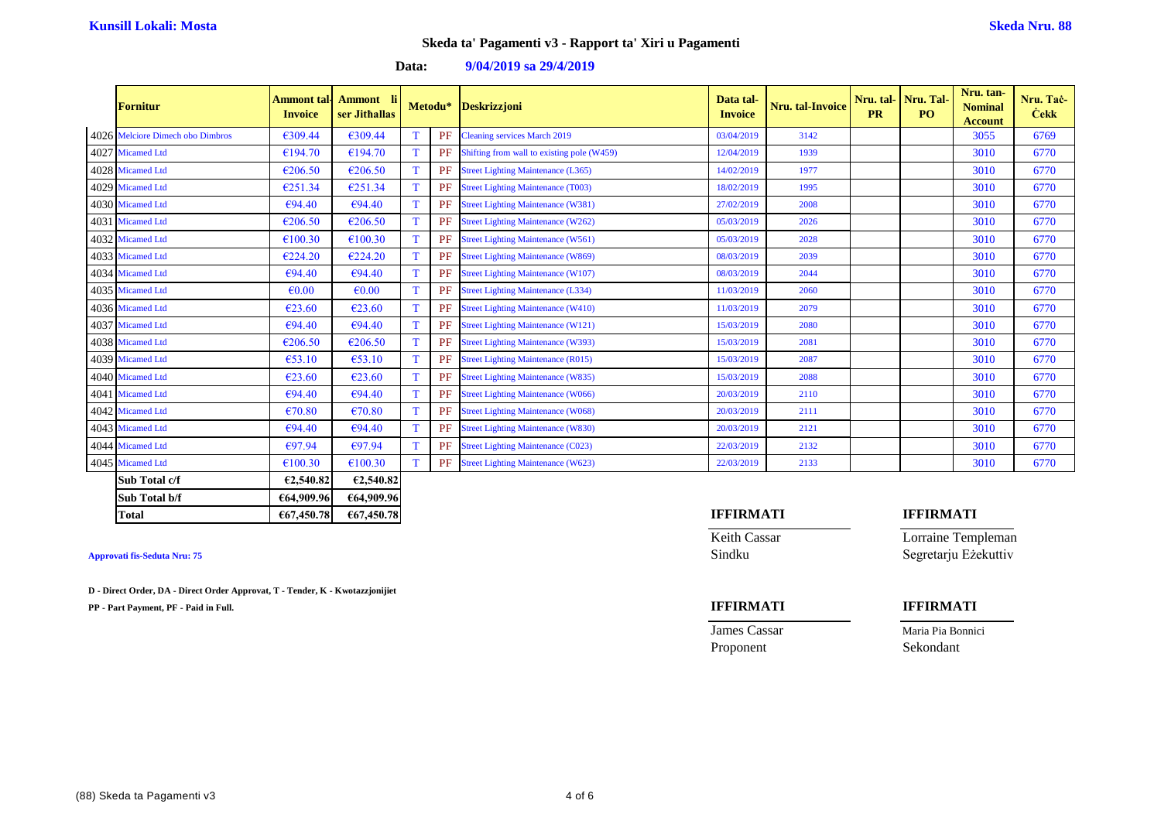| <b>Fornitur</b>                  | Ammont tal-<br><b>Invoice</b> | Ammont li<br>ser Jithallas |   | Metodu* | <b>Deskrizzjoni</b>                        | Data tal-<br><b>Invoice</b> | Nru. tal-Invoice | Nru. tal-<br><b>PR</b> | Nru. Tal<br>P <sub>O</sub> | Nru. tan-<br><b>Nominal</b><br><b>Account</b> | Nru. Tač-<br><b>Cekk</b> |
|----------------------------------|-------------------------------|----------------------------|---|---------|--------------------------------------------|-----------------------------|------------------|------------------------|----------------------------|-----------------------------------------------|--------------------------|
| 4026 Melciore Dimech obo Dimbros | €309.44                       | €309.44                    |   | PF      | <b>Cleaning services March 2019</b>        | 03/04/2019                  | 3142             |                        |                            | 3055                                          | 6769                     |
| 4027 Micamed Ltd                 | €194.70                       | €194.70                    | T | PF      | Shifting from wall to existing pole (W459) | 12/04/2019                  | 1939             |                        |                            | 3010                                          | 6770                     |
| 4028 Micamed Ltd                 | €206.50                       | €206.50                    | T | PF      | <b>Street Lighting Maintenance (L365)</b>  | 14/02/2019                  | 1977             |                        |                            | 3010                                          | 6770                     |
| 4029 Micamed Ltd                 | €251.34                       | €251.34                    | T | PF      | <b>Street Lighting Maintenance (T003)</b>  | 18/02/2019                  | 1995             |                        |                            | 3010                                          | 6770                     |
| 4030 Micamed Ltd                 | €94.40                        | €94.40                     | T | PF      | <b>Street Lighting Maintenance (W381)</b>  | 27/02/2019                  | 2008             |                        |                            | 3010                                          | 6770                     |
| 4031 Micamed Ltd                 | €206.50                       | €206.50                    | T | PF      | <b>Street Lighting Maintenance (W262)</b>  | 05/03/2019                  | 2026             |                        |                            | 3010                                          | 6770                     |
| 4032 Micamed Ltd                 | €100.30                       | €100.30                    | T | PF      | <b>Street Lighting Maintenance (W561)</b>  | 05/03/2019                  | 2028             |                        |                            | 3010                                          | 6770                     |
| 4033 Micamed Ltd                 | €224.20                       | €224.20                    | T | PF      | <b>Street Lighting Maintenance (W869)</b>  | 08/03/2019                  | 2039             |                        |                            | 3010                                          | 6770                     |
| 4034 Micamed Ltd                 | $\epsilon$ 94.40              | €94.40                     | T | PF      | <b>Street Lighting Maintenance (W107)</b>  | 08/03/2019                  | 2044             |                        |                            | 3010                                          | 6770                     |
| 4035 Micamed Ltd                 | $\epsilon$ <sub>0.00</sub>    | $\epsilon$ 0.00            | T | PF      | <b>Street Lighting Maintenance (L334)</b>  | 11/03/2019                  | 2060             |                        |                            | 3010                                          | 6770                     |
| 4036 Micamed Ltd                 | €23.60                        | €23.60                     | T | PF      | <b>Street Lighting Maintenance (W410)</b>  | 11/03/2019                  | 2079             |                        |                            | 3010                                          | 6770                     |
| 4037 Micamed Ltd                 | €94.40                        | €94.40                     | T | PF      | <b>Street Lighting Maintenance (W121)</b>  | 15/03/2019                  | 2080             |                        |                            | 3010                                          | 6770                     |
| 4038 Micamed Ltd                 | €206.50                       | €206.50                    | T | PF      | <b>Street Lighting Maintenance (W393)</b>  | 15/03/2019                  | 2081             |                        |                            | 3010                                          | 6770                     |
| 4039 Micamed Ltd                 | €53.10                        | €53.10                     | T | PF      | <b>Street Lighting Maintenance (R015)</b>  | 15/03/2019                  | 2087             |                        |                            | 3010                                          | 6770                     |
| 4040 Micamed Ltd                 | €23.60                        | €23.60                     | T | PF      | <b>Street Lighting Maintenance (W835)</b>  | 15/03/2019                  | 2088             |                        |                            | 3010                                          | 6770                     |
| 4041 Micamed Ltd                 | €94.40                        | €94.40                     | T | PF      | <b>Street Lighting Maintenance (W066)</b>  | 20/03/2019                  | 2110             |                        |                            | 3010                                          | 6770                     |
| 4042 Micamed Ltd                 | €70.80                        | €70.80                     | T | PF      | <b>Street Lighting Maintenance (W068)</b>  | 20/03/2019                  | 2111             |                        |                            | 3010                                          | 6770                     |
| 4043 Micamed Ltd                 | €94.40                        | €94.40                     | T | PF      | <b>Street Lighting Maintenance (W830)</b>  | 20/03/2019                  | 2121             |                        |                            | 3010                                          | 6770                     |
| 4044 Micamed Ltd                 | €97.94                        | €97.94                     | T | PF      | <b>Street Lighting Maintenance (C023)</b>  | 22/03/2019                  | 2132             |                        |                            | 3010                                          | 6770                     |
| 4045 Micamed Ltd                 | €100.30                       | €100.30                    | T | PF      | <b>Street Lighting Maintenance (W623)</b>  | 22/03/2019                  | 2133             |                        |                            | 3010                                          | 6770                     |
|                                  |                               |                            |   |         |                                            |                             |                  |                        |                            |                                               |                          |

## **Data: 9/04/2019 sa 29/4/2019**

| <b>Micamed Ltd</b> | €100.30    | €100.30    | PF<br><b>Street Lighting Maintenance (W623)</b> | 22/03/2019       | 2133 |           |  |
|--------------------|------------|------------|-------------------------------------------------|------------------|------|-----------|--|
| Sub Total c/f      | €2.540.82  | €2,540.82  |                                                 |                  |      |           |  |
| Sub Total b/f      | €64,909.96 | €64,909.96 |                                                 |                  |      |           |  |
| Total              | €67,450.78 | €67,450.78 |                                                 | <b>IFFIRMATI</b> |      | IFFIRMATI |  |
|                    |            |            |                                                 |                  |      |           |  |

**D - Direct Order, DA - Direct Order Approvat, T - Tender, K - Kwotazzjonijiet**

**PP - Part Payment, PF - Paid in Full. IFFIRMATI IFFIRMATI**

Keith Cassar **Lorraine Templeman** Approvati fis-Seduta Nru: 75 Sindku Segretarju Eżekuttiv

**James Cassar Maria Pia Bonnici** Proponent Sekondant

(88) Skeda ta Pagamenti v3 4 of 6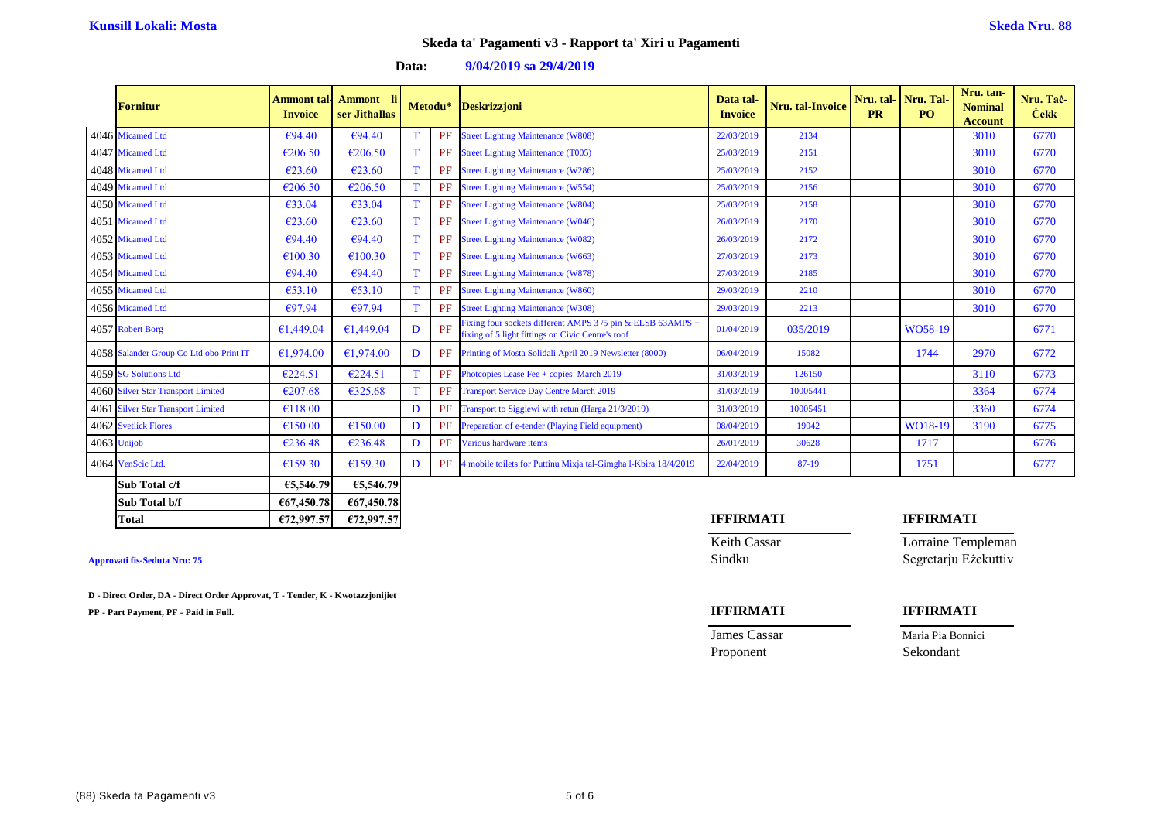|  | Data: | $9/04/2019$ sa $29/4/2019$ |
|--|-------|----------------------------|
|--|-------|----------------------------|

| <b>Fornitur</b>                         | Ammont tal·l<br><b>Invoice</b> | <b>Ammont</b><br>ser Jithallas |              | Metodu*   | <b>Deskrizzjoni</b>                                                                                             | Data tal-<br><b>Invoice</b> | Nru. tal-Invoice | Nru. tal-<br><b>PR</b> | Nru. Tal-<br>PO. | Nru. tan-<br><b>Nominal</b><br><b>Account</b> | Nru. Tač-<br><b>Cekk</b> |
|-----------------------------------------|--------------------------------|--------------------------------|--------------|-----------|-----------------------------------------------------------------------------------------------------------------|-----------------------------|------------------|------------------------|------------------|-----------------------------------------------|--------------------------|
| 4046 Micamed Ltd                        | €94.40                         | €94.40                         | T            | PF        | <b>Street Lighting Maintenance (W808)</b>                                                                       | 22/03/2019                  | 2134             |                        |                  | 3010                                          | 6770                     |
| 4047 Micamed Ltd                        | €206.50                        | €206.50                        |              | PF        | <b>Street Lighting Maintenance (T005)</b>                                                                       | 25/03/2019                  | 2151             |                        |                  | 3010                                          | 6770                     |
| 4048 Micamed Ltd                        | €23.60                         | €23.60                         | $\mathbf T$  | PF        | <b>Street Lighting Maintenance (W286)</b>                                                                       | 25/03/2019                  | 2152             |                        |                  | 3010                                          | 6770                     |
| 4049 Micamed Ltd                        | €206.50                        | €206.50                        | T            | PF        | <b>Street Lighting Maintenance (W554)</b>                                                                       | 25/03/2019                  | 2156             |                        |                  | 3010                                          | 6770                     |
| 4050 Micamed Ltd                        | €33.04                         | €33.04                         | T            | PF        | <b>Street Lighting Maintenance (W804)</b>                                                                       | 25/03/2019                  | 2158             |                        |                  | 3010                                          | 6770                     |
| 4051 Micamed Ltd                        | $\epsilon$ 23.60               | €23.60                         | T            | PF        | <b>Street Lighting Maintenance (W046)</b>                                                                       | 26/03/2019                  | 2170             |                        |                  | 3010                                          | 6770                     |
| 4052 Micamed Ltd                        | €94.40                         | €94.40                         | T            | PF        | <b>Street Lighting Maintenance (W082)</b>                                                                       | 26/03/2019                  | 2172             |                        |                  | 3010                                          | 6770                     |
| 4053 Micamed Ltd                        | €100.30                        | €100.30                        |              | PF        | <b>Street Lighting Maintenance (W663)</b>                                                                       | 27/03/2019                  | 2173             |                        |                  | 3010                                          | 6770                     |
| 4054 Micamed Ltd                        | €94.40                         | €94.40                         | T            | PF        | <b>Street Lighting Maintenance (W878)</b>                                                                       | 27/03/2019                  | 2185             |                        |                  | 3010                                          | 6770                     |
| 4055 Micamed Ltd                        | $\epsilon$ 53.10               | €53.10                         | T            | PF        | <b>Street Lighting Maintenance (W860)</b>                                                                       | 29/03/2019                  | 2210             |                        |                  | 3010                                          | 6770                     |
| 4056 Micamed Ltd                        | €97.94                         | €97.94                         | T            | PF        | <b>Street Lighting Maintenance (W308)</b>                                                                       | 29/03/2019                  | 2213             |                        |                  | 3010                                          | 6770                     |
| 4057 Robert Borg                        | €1,449.04                      | €1,449.04                      | D            | PF        | Fixing four sockets different AMPS 3/5 pin & ELSB 63AMPS +<br>fixing of 5 light fittings on Civic Centre's roof | 01/04/2019                  | 035/2019         |                        | WO58-19          |                                               | 6771                     |
| 4058 Salander Group Co Ltd obo Print IT | €1,974.00                      | €1,974.00                      | D            |           | PF Printing of Mosta Solidali April 2019 Newsletter (8000)                                                      | 06/04/2019                  | 15082            |                        | 1744             | 2970                                          | 6772                     |
| 4059 SG Solutions Ltd                   | €224.51                        | €224.51                        | T            |           | PF Photopies Lease Fee + copies March 2019                                                                      | 31/03/2019                  | 126150           |                        |                  | 3110                                          | 6773                     |
| 4060 Silver Star Transport Limited      | €207.68                        | €325.68                        |              | PF        | <b>Transport Service Day Centre March 2019</b>                                                                  | 31/03/2019                  | 10005441         |                        |                  | 3364                                          | 6774                     |
| 4061 Silver Star Transport Limited      | €118.00                        |                                | $\mathbf{D}$ | <b>PF</b> | Transport to Siggiewi with retun (Harga 21/3/2019)                                                              | 31/03/2019                  | 10005451         |                        |                  | 3360                                          | 6774                     |
| 4062 Svetlick Flores                    | €150.00                        | €150.00                        | D            | PF        | Preparation of e-tender (Playing Field equipment)                                                               | 08/04/2019                  | 19042            |                        | WO18-19          | 3190                                          | 6775                     |
| 4063 Unijob                             | €236.48                        | €236.48                        | D            | PF        | Various hardware items                                                                                          | 26/01/2019                  | 30628            |                        | 1717             |                                               | 6776                     |
| 4064 VenScic Ltd.                       | €159.30                        | €159.30                        | Ð            | PF        | 4 mobile toilets for Puttinu Mixja tal-Gimgha l-Kbira 18/4/2019                                                 | 22/04/2019                  | 87-19            |                        | 1751             |                                               | 6777                     |

| Sub Total c/f | €5,546.79  | €5,546.79  |  |                  |  |                  |  |
|---------------|------------|------------|--|------------------|--|------------------|--|
| Sub Total b/f | €67,450.78 | €67,450.78 |  |                  |  |                  |  |
| Total         | £72,997.57 | €72,997.57 |  | <b>IFFIRMATI</b> |  | <b>IFFIRMATI</b> |  |

**D - Direct Order, DA - Direct Order Approvat, T - Tender, K - Kwotazzjonijiet**

**PP - Part Payment, PF - Paid in Full. IFFIRMATI IFFIRMATI**

## **Keith Cassar Lorraine Templeman Approvati fis-Seduta Nru: 75** Sindku Segretarju Eżekuttiv

# James Cassar

| Maria Pia Bonnici |  |
|-------------------|--|

Proponent Sekondant